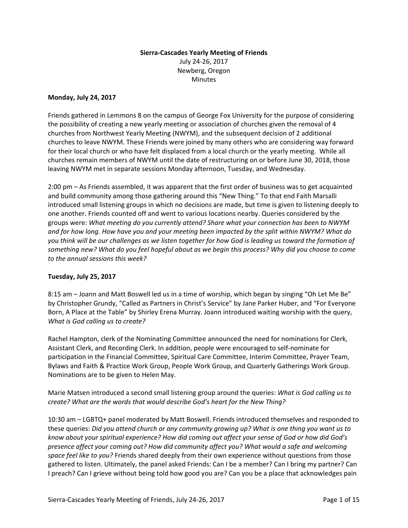# **Sierra-Cascades Yearly Meeting of Friends**  July 24-26, 2017 Newberg, Oregon **Minutes**

### **Monday, July 24, 2017**

Friends gathered in Lemmons 8 on the campus of George Fox University for the purpose of considering the possibility of creating a new yearly meeting or association of churches given the removal of 4 churches from Northwest Yearly Meeting (NWYM), and the subsequent decision of 2 additional churches to leave NWYM. These Friends were joined by many others who are considering way forward for their local church or who have felt displaced from a local church or the yearly meeting. While all churches remain members of NWYM until the date of restructuring on or before June 30, 2018, those leaving NWYM met in separate sessions Monday afternoon, Tuesday, and Wednesday.

2:00 pm – As Friends assembled, it was apparent that the first order of business was to get acquainted and build community among those gathering around this "New Thing." To that end Faith Marsalli introduced small listening groups in which no decisions are made, but time is given to listening deeply to one another. Friends counted off and went to various locations nearby. Queries considered by the groups were: *What meeting do you currently attend? Share what your connection has been to NWYM and for how long. How have you and your meeting been impacted by the split within NWYM? What do you think will be our challenges as we listen together for how God is leading us toward the formation of something new? What do you feel hopeful about as we begin this process? Why did you choose to come to the annual sessions this week?*

## **Tuesday, July 25, 2017**

8:15 am – Joann and Matt Boswell led us in a time of worship, which began by singing "Oh Let Me Be" by Christopher Grundy, "Called as Partners in Christ's Service" by Jane Parker Huber, and "For Everyone Born, A Place at the Table" by Shirley Erena Murray. Joann introduced waiting worship with the query, *What is God calling us to create?*

Rachel Hampton, clerk of the Nominating Committee announced the need for nominations for Clerk, Assistant Clerk, and Recording Clerk. In addition, people were encouraged to self-nominate for participation in the Financial Committee, Spiritual Care Committee, Interim Committee, Prayer Team, Bylaws and Faith & Practice Work Group, People Work Group, and Quarterly Gatherings Work Group. Nominations are to be given to Helen May.

Marie Matsen introduced a second small listening group around the queries: *What is God calling us to create? What are the words that would describe God's heart for the New Thing?* 

10:30 am – LGBTQ+ panel moderated by Matt Boswell. Friends introduced themselves and responded to these queries: *Did you attend church or any community growing up? What is one thing you want us to know about your spiritual experience? How did coming out affect your sense of God or how did God's presence affect your coming out? How did community affect you? What would a safe and welcoming space feel like to you?* Friends shared deeply from their own experience without questions from those gathered to listen. Ultimately, the panel asked Friends: Can I be a member? Can I bring my partner? Can I preach? Can I grieve without being told how good you are? Can you be a place that acknowledges pain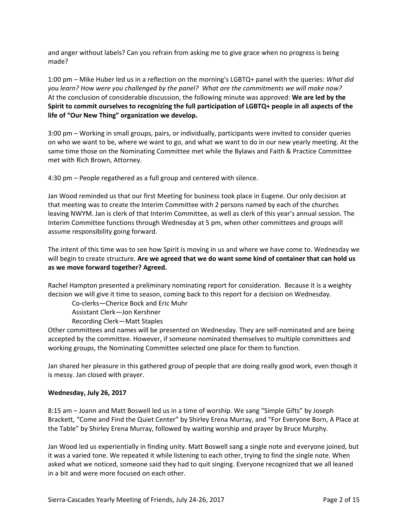and anger without labels? Can you refrain from asking me to give grace when no progress is being made?

1:00 pm – Mike Huber led us in a reflection on the morning's LGBTQ+ panel with the queries: *What did you learn? How were you challenged by the panel? What are the commitments we will make now?*  At the conclusion of considerable discussion, the following minute was approved: **We are led by the Spirit to commit ourselves to recognizing the full participation of LGBTQ+ people in all aspects of the life of "Our New Thing" organization we develop.** 

3:00 pm – Working in small groups, pairs, or individually, participants were invited to consider queries on who we want to be, where we want to go, and what we want to do in our new yearly meeting. At the same time those on the Nominating Committee met while the Bylaws and Faith & Practice Committee met with Rich Brown, Attorney.

4:30 pm – People regathered as a full group and centered with silence.

Jan Wood reminded us that our first Meeting for business took place in Eugene. Our only decision at that meeting was to create the Interim Committee with 2 persons named by each of the churches leaving NWYM. Jan is clerk of that Interim Committee, as well as clerk of this year's annual session. The Interim Committee functions through Wednesday at 5 pm, when other committees and groups will assume responsibility going forward.

The intent of this time was to see how Spirit is moving in us and where we have come to. Wednesday we will begin to create structure. **Are we agreed that we do want some kind of container that can hold us as we move forward together? Agreed.** 

Rachel Hampton presented a preliminary nominating report for consideration. Because it is a weighty decision we will give it time to season, coming back to this report for a decision on Wednesday.

Co-clerks—Cherice Bock and Eric Muhr

Assistant Clerk—Jon Kershner

Recording Clerk—Matt Staples

Other committees and names will be presented on Wednesday. They are self-nominated and are being accepted by the committee. However, if someone nominated themselves to multiple committees and working groups, the Nominating Committee selected one place for them to function.

Jan shared her pleasure in this gathered group of people that are doing really good work, even though it is messy. Jan closed with prayer.

#### **Wednesday, July 26, 2017**

8:15 am – Joann and Matt Boswell led us in a time of worship. We sang "Simple Gifts" by Joseph Brackett, "Come and Find the Quiet Center" by Shirley Erena Murray, and "For Everyone Born, A Place at the Table" by Shirley Erena Murray, followed by waiting worship and prayer by Bruce Murphy.

Jan Wood led us experientially in finding unity. Matt Boswell sang a single note and everyone joined, but it was a varied tone. We repeated it while listening to each other, trying to find the single note. When asked what we noticed, someone said they had to quit singing. Everyone recognized that we all leaned in a bit and were more focused on each other.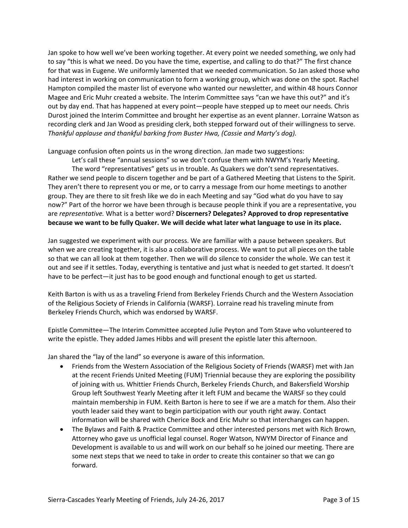Jan spoke to how well we've been working together. At every point we needed something, we only had to say "this is what we need. Do you have the time, expertise, and calling to do that?" The first chance for that was in Eugene. We uniformly lamented that we needed communication. So Jan asked those who had interest in working on communication to form a working group, which was done on the spot. Rachel Hampton compiled the master list of everyone who wanted our newsletter, and within 48 hours Connor Magee and Eric Muhr created a website. The Interim Committee says "can we have this out?" and it's out by day end. That has happened at every point—people have stepped up to meet our needs. Chris Durost joined the Interim Committee and brought her expertise as an event planner. Lorraine Watson as recording clerk and Jan Wood as presiding clerk, both stepped forward out of their willingness to serve. *Thankful applause and thankful barking from Buster Hwa, (Cassie and Marty's dog).*

Language confusion often points us in the wrong direction. Jan made two suggestions:

 Let's call these "annual sessions" so we don't confuse them with NWYM's Yearly Meeting. The word "representatives" gets us in trouble. As Quakers we don't send representatives. Rather we send people to discern together and be part of a Gathered Meeting that Listens to the Spirit. They aren't there to represent you or me, or to carry a message from our home meetings to another group. They are there to sit fresh like we do in each Meeting and say "God what do you have to say now?" Part of the horror we have been through is because people think if you are a representative, you are *representative.* What is a better word? **Discerners? Delegates? Approved to drop representative because we want to be fully Quaker. We will decide what later what language to use in its place.**

Jan suggested we experiment with our process. We are familiar with a pause between speakers. But when we are creating together, it is also a collaborative process. We want to put all pieces on the table so that we can all look at them together. Then we will do silence to consider the whole. We can test it out and see if it settles. Today, everything is tentative and just what is needed to get started. It doesn't have to be perfect—it just has to be good enough and functional enough to get us started.

Keith Barton is with us as a traveling Friend from Berkeley Friends Church and the Western Association of the Religious Society of Friends in California (WARSF). Lorraine read his traveling minute from Berkeley Friends Church, which was endorsed by WARSF.

Epistle Committee—The Interim Committee accepted Julie Peyton and Tom Stave who volunteered to write the epistle. They added James Hibbs and will present the epistle later this afternoon.

Jan shared the "lay of the land" so everyone is aware of this information.

- Friends from the Western Association of the Religious Society of Friends (WARSF) met with Jan at the recent Friends United Meeting (FUM) Triennial because they are exploring the possibility of joining with us. Whittier Friends Church, Berkeley Friends Church, and Bakersfield Worship Group left Southwest Yearly Meeting after it left FUM and became the WARSF so they could maintain membership in FUM. Keith Barton is here to see if we are a match for them. Also their youth leader said they want to begin participation with our youth right away. Contact information will be shared with Cherice Bock and Eric Muhr so that interchanges can happen.
- The Bylaws and Faith & Practice Committee and other interested persons met with Rich Brown, Attorney who gave us unofficial legal counsel. Roger Watson, NWYM Director of Finance and Development is available to us and will work on our behalf so he joined our meeting. There are some next steps that we need to take in order to create this container so that we can go forward.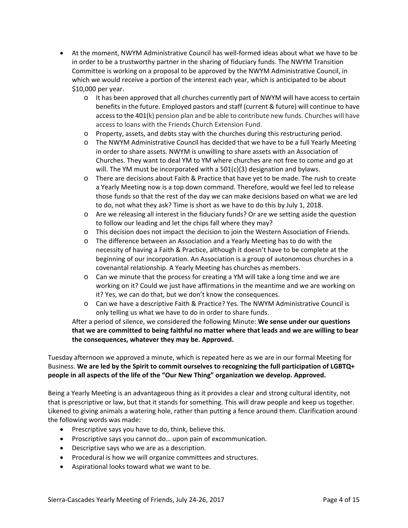- At the moment, NWYM Administrative Council has well-formed ideas about what we have to be in order to be a trustworthy partner in the sharing of fiduciary funds. The NWYM Transition Committee is working on a proposal to be approved by the NWYM Administrative Council, in which we would receive a portion of the interest each year, which is anticipated to be about \$10,000 per year.
	- o It has been approved that all churches currently part of NWYM will have access to certain benefits in the future. Employed pastors and staff (current & future) will continue to have access to the 401(k) pension plan and be able to contribute new funds. Churches will have access to loans with the Friends Church Extension Fund.
	- o Property, assets, and debts stay with the churches during this restructuring period.
	- o The NWYM Administrative Council has decided that we have to be a full Yearly Meeting in order to share assets. NWYM is unwilling to share assets with an Association of Churches. They want to deal YM to YM where churches are not free to come and go at will. The YM must be incorporated with a 501(c)(3) designation and bylaws.
	- o There are decisions about Faith & Practice that have yet to be made. The rush to create a Yearly Meeting now is a top down command. Therefore, would we feel led to release those funds so that the rest of the day we can make decisions based on what we are led to do, not what they ask? Time is short as we have to do this by July 1, 2018.
	- $\circ$  Are we releasing all interest in the fiduciary funds? Or are we setting aside the question to follow our leading and let the chips fall where they may?
	- o This decision does not impact the decision to join the Western Association of Friends.
	- o The difference between an Association and a Yearly Meeting has to do with the necessity of having a Faith & Practice, although it doesn't have to be complete at the beginning of our incorporation. An Association is a group of autonomous churches in a covenantal relationship. A Yearly Meeting has churches as members.
	- $\circ$  Can we minute that the process for creating a YM will take a long time and we are working on it? Could we just have affirmations in the meantime and we are working on it? Yes, we can do that, but we don't know the consequences.
	- o Can we have a descriptive Faith & Practice? Yes. The NWYM Administrative Council is only telling us what we have to do in order to share funds.

After a period of silence, we considered the following Minute: **We sense under our questions that we are committed to being faithful no matter where that leads and we are willing to bear the consequences, whatever they may be. Approved.** 

Tuesday afternoon we approved a minute, which is repeated here as we are in our formal Meeting for Business. **We are led by the Spirit to commit ourselves to recognizing the full participation of LGBTQ+ people in all aspects of the life of the "Our New Thing" organization we develop. Approved.** 

Being a Yearly Meeting is an advantageous thing as it provides a clear and strong cultural identity, not that is prescriptive or law, but that it stands for something. This will draw people and keep us together. Likened to giving animals a watering hole, rather than putting a fence around them. Clarification around the following words was made:

- Prescriptive says you have to do, think, believe this.
- Proscriptive says you cannot do... upon pain of excommunication.
- Descriptive says who we are as a description.
- Procedural is how we will organize committees and structures.
- Aspirational looks toward what we want to be.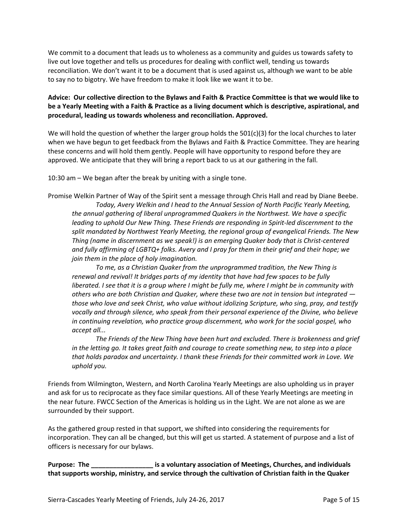We commit to a document that leads us to wholeness as a community and guides us towards safety to live out love together and tells us procedures for dealing with conflict well, tending us towards reconciliation. We don't want it to be a document that is used against us, although we want to be able to say no to bigotry. We have freedom to make it look like we want it to be.

# **Advice: Our collective direction to the Bylaws and Faith & Practice Committee is that we would like to be a Yearly Meeting with a Faith & Practice as a living document which is descriptive, aspirational, and procedural, leading us towards wholeness and reconciliation. Approved.**

We will hold the question of whether the larger group holds the 501(c)(3) for the local churches to later when we have begun to get feedback from the Bylaws and Faith & Practice Committee. They are hearing these concerns and will hold them gently. People will have opportunity to respond before they are approved. We anticipate that they will bring a report back to us at our gathering in the fall.

10:30 am – We began after the break by uniting with a single tone.

Promise Welkin Partner of Way of the Spirit sent a message through Chris Hall and read by Diane Beebe. *Today, Avery Welkin and I head to the Annual Session of North Pacific Yearly Meeting, the annual gathering of liberal unprogrammed Quakers in the Northwest. We have a specific leading to uphold Our New Thing. These Friends are responding in Spirit-led discernment to the split mandated by Northwest Yearly Meeting, the regional group of evangelical Friends. The New Thing (name in discernment as we speak!) is an emerging Quaker body that is Christ-centered and fully affirming of LGBTQ+ folks. Avery and I pray for them in their grief and their hope; we join them in the place of holy imagination.* 

*To me, as a Christian Quaker from the unprogrammed tradition, the New Thing is renewal and revival! It bridges parts of my identity that have had few spaces to be fully liberated. I see that it is a group where I might be fully me, where I might be in community with others who are both Christian and Quaker, where these two are not in tension but integrated those who love and seek Christ, who value without idolizing Scripture, who sing, pray, and testify vocally and through silence, who speak from their personal experience of the Divine, who believe in continuing revelation, who practice group discernment, who work for the social gospel, who accept all...* 

*The Friends of the New Thing have been hurt and excluded. There is brokenness and grief in the letting go. It takes great faith and courage to create something new, to step into a place that holds paradox and uncertainty. I thank these Friends for their committed work in Love. We uphold you.* 

Friends from Wilmington, Western, and North Carolina Yearly Meetings are also upholding us in prayer and ask for us to reciprocate as they face similar questions. All of these Yearly Meetings are meeting in the near future. FWCC Section of the Americas is holding us in the Light. We are not alone as we are surrounded by their support.

As the gathered group rested in that support, we shifted into considering the requirements for incorporation. They can all be changed, but this will get us started. A statement of purpose and a list of officers is necessary for our bylaws.

**Purpose: The \_\_\_\_\_\_\_\_\_\_\_\_\_\_\_\_\_ is a voluntary association of Meetings, Churches, and individuals that supports worship, ministry, and service through the cultivation of Christian faith in the Quaker**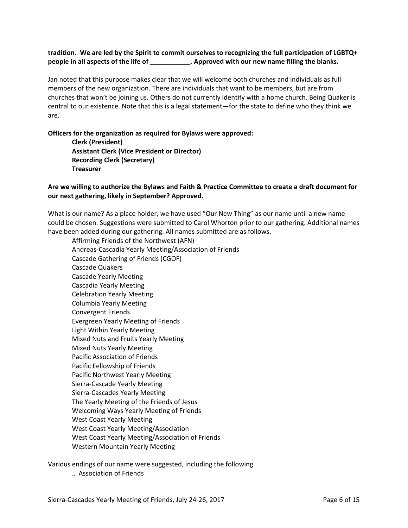## **tradition. We are led by the Spirit to commit ourselves to recognizing the full participation of LGBTQ+ people in all aspects of the life of \_\_\_\_\_\_\_\_\_\_\_. Approved with our new name filling the blanks.**

Jan noted that this purpose makes clear that we will welcome both churches and individuals as full members of the new organization. There are individuals that want to be members, but are from churches that won't be joining us. Others do not currently identify with a home church. Being Quaker is central to our existence. Note that this is a legal statement—for the state to define who they think we are.

#### **Officers for the organization as required for Bylaws were approved:**

 **Clerk (President) Assistant Clerk (Vice President or Director) Recording Clerk (Secretary) Treasurer** 

## **Are we willing to authorize the Bylaws and Faith & Practice Committee to create a draft document for our next gathering, likely in September? Approved.**

What is our name? As a place holder, we have used "Our New Thing" as our name until a new name could be chosen. Suggestions were submitted to Carol Whorton prior to our gathering. Additional names have been added during our gathering. All names submitted are as follows.

Affirming Friends of the Northwest (AFN) Andreas-Cascadia Yearly Meeting/Association of Friends Cascade Gathering of Friends (CGOF) Cascade Quakers Cascade Yearly Meeting Cascadia Yearly Meeting Celebration Yearly Meeting Columbia Yearly Meeting Convergent Friends Evergreen Yearly Meeting of Friends Light Within Yearly Meeting Mixed Nuts and Fruits Yearly Meeting Mixed Nuts Yearly Meeting Pacific Association of Friends Pacific Fellowship of Friends Pacific Northwest Yearly Meeting Sierra-Cascade Yearly Meeting Sierra-Cascades Yearly Meeting The Yearly Meeting of the Friends of Jesus Welcoming Ways Yearly Meeting of Friends West Coast Yearly Meeting West Coast Yearly Meeting/Association West Coast Yearly Meeting/Association of Friends Western Mountain Yearly Meeting

Various endings of our name were suggested, including the following. … Association of Friends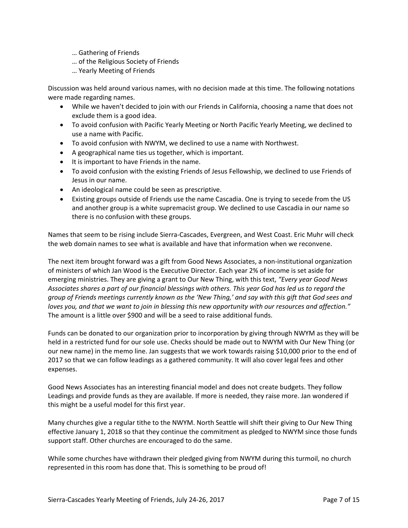- … Gathering of Friends
- … of the Religious Society of Friends
- … Yearly Meeting of Friends

Discussion was held around various names, with no decision made at this time. The following notations were made regarding names.

- While we haven't decided to join with our Friends in California, choosing a name that does not exclude them is a good idea.
- To avoid confusion with Pacific Yearly Meeting or North Pacific Yearly Meeting, we declined to use a name with Pacific.
- To avoid confusion with NWYM, we declined to use a name with Northwest.
- A geographical name ties us together, which is important.
- It is important to have Friends in the name.
- To avoid confusion with the existing Friends of Jesus Fellowship, we declined to use Friends of Jesus in our name.
- An ideological name could be seen as prescriptive.
- Existing groups outside of Friends use the name Cascadia. One is trying to secede from the US and another group is a white supremacist group. We declined to use Cascadia in our name so there is no confusion with these groups.

Names that seem to be rising include Sierra-Cascades, Evergreen, and West Coast. Eric Muhr will check the web domain names to see what is available and have that information when we reconvene.

The next item brought forward was a gift from Good News Associates, a non-institutional organization of ministers of which Jan Wood is the Executive Director. Each year 2% of income is set aside for emerging ministries. They are giving a grant to Our New Thing, with this text, *"Every year Good News Associates shares a part of our financial blessings with others. This year God has led us to regard the group of Friends meetings currently known as the 'New Thing,' and say with this gift that God sees and loves you, and that we want to join in blessing this new opportunity with our resources and affection."* The amount is a little over \$900 and will be a seed to raise additional funds.

Funds can be donated to our organization prior to incorporation by giving through NWYM as they will be held in a restricted fund for our sole use. Checks should be made out to NWYM with Our New Thing (or our new name) in the memo line. Jan suggests that we work towards raising \$10,000 prior to the end of 2017 so that we can follow leadings as a gathered community. It will also cover legal fees and other expenses.

Good News Associates has an interesting financial model and does not create budgets. They follow Leadings and provide funds as they are available. If more is needed, they raise more. Jan wondered if this might be a useful model for this first year.

Many churches give a regular tithe to the NWYM. North Seattle will shift their giving to Our New Thing effective January 1, 2018 so that they continue the commitment as pledged to NWYM since those funds support staff. Other churches are encouraged to do the same.

While some churches have withdrawn their pledged giving from NWYM during this turmoil, no church represented in this room has done that. This is something to be proud of!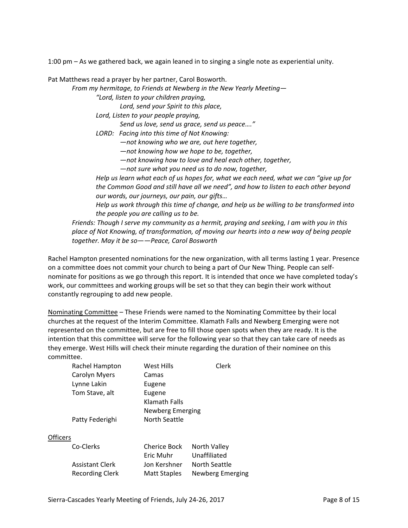1:00 pm – As we gathered back, we again leaned in to singing a single note as experiential unity.

Pat Matthews read a prayer by her partner, Carol Bosworth.

*From my hermitage, to Friends at Newberg in the New Yearly Meeting—* 

*"Lord, listen to your children praying,* 

*Lord, send your Spirit to this place,* 

*Lord, Listen to your people praying,* 

*Send us love, send us grace, send us peace…."* 

*LORD: Facing into this time of Not Knowing:* 

*—not knowing who we are, out here together,* 

*—not knowing how we hope to be, together,* 

*—not knowing how to love and heal each other, together,* 

*—not sure what you need us to do now, together,* 

*Help us learn what each of us hopes for, what we each need, what we can "give up for the Common Good and still have all we need", and how to listen to each other beyond our words, our journeys, our pain, our gifts…* 

*Help us work through this time of change, and help us be willing to be transformed into the people you are calling us to be.* 

*Friends: Though I serve my community as a hermit, praying and seeking, I am with you in this place of Not Knowing, of transformation, of moving our hearts into a new way of being people together. May it be so——Peace, Carol Bosworth* 

Rachel Hampton presented nominations for the new organization, with all terms lasting 1 year. Presence on a committee does not commit your church to being a part of Our New Thing. People can selfnominate for positions as we go through this report. It is intended that once we have completed today's work, our committees and working groups will be set so that they can begin their work without constantly regrouping to add new people.

Nominating Committee – These Friends were named to the Nominating Committee by their local churches at the request of the Interim Committee. Klamath Falls and Newberg Emerging were not represented on the committee, but are free to fill those open spots when they are ready. It is the intention that this committee will serve for the following year so that they can take care of needs as they emerge. West Hills will check their minute regarding the duration of their nominee on this committee.

|          | Rachel Hampton       | West Hills           | Clerk |
|----------|----------------------|----------------------|-------|
|          | <b>Carolyn Myers</b> | Camas                |       |
|          | Lynne Lakin          | Eugene               |       |
|          | Tom Stave, alt       | Eugene               |       |
|          |                      | Klamath Falls        |       |
|          |                      | Newberg Emerging     |       |
|          | Patty Federighi      | <b>North Seattle</b> |       |
|          |                      |                      |       |
| Officers |                      |                      |       |
|          |                      |                      |       |

| Co-Clerks              | <b>Cherice Bock</b> | North Valley     |
|------------------------|---------------------|------------------|
|                        | Eric Muhr           | Unaffiliated     |
| <b>Assistant Clerk</b> | Jon Kershner        | North Seattle    |
| Recording Clerk        | <b>Matt Staples</b> | Newberg Emerging |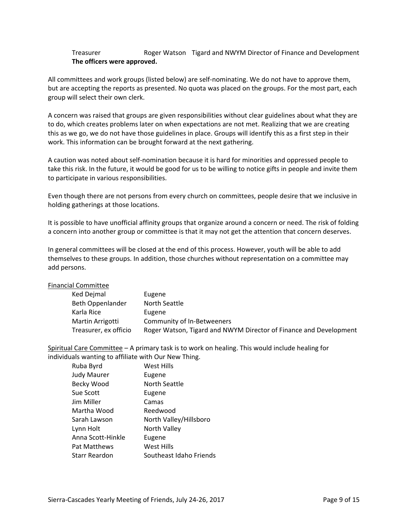## Treasurer Roger Watson Tigard and NWYM Director of Finance and Development **The officers were approved.**

All committees and work groups (listed below) are self-nominating. We do not have to approve them, but are accepting the reports as presented. No quota was placed on the groups. For the most part, each group will select their own clerk.

A concern was raised that groups are given responsibilities without clear guidelines about what they are to do, which creates problems later on when expectations are not met. Realizing that we are creating this as we go, we do not have those guidelines in place. Groups will identify this as a first step in their work. This information can be brought forward at the next gathering.

A caution was noted about self-nomination because it is hard for minorities and oppressed people to take this risk. In the future, it would be good for us to be willing to notice gifts in people and invite them to participate in various responsibilities.

Even though there are not persons from every church on committees, people desire that we inclusive in holding gatherings at those locations.

It is possible to have unofficial affinity groups that organize around a concern or need. The risk of folding a concern into another group or committee is that it may not get the attention that concern deserves.

In general committees will be closed at the end of this process. However, youth will be able to add themselves to these groups. In addition, those churches without representation on a committee may add persons.

#### Financial Committee

| Ked Dejmal            | Eugene                                                            |
|-----------------------|-------------------------------------------------------------------|
| Beth Oppenlander      | North Seattle                                                     |
| Karla Rice            | Eugene                                                            |
| Martin Arrigotti      | Community of In-Betweeners                                        |
| Treasurer, ex officio | Roger Watson, Tigard and NWYM Director of Finance and Development |

Spiritual Care Committee – A primary task is to work on healing. This would include healing for individuals wanting to affiliate with Our New Thing.

| Ruba Byrd            | West Hills              |
|----------------------|-------------------------|
| <b>Judy Maurer</b>   | Eugene                  |
| Becky Wood           | North Seattle           |
| Sue Scott            | Eugene                  |
| Jim Miller           | Camas                   |
| Martha Wood          | Reedwood                |
| Sarah Lawson         | North Valley/Hillsboro  |
| Lynn Holt            | North Valley            |
| Anna Scott-Hinkle    | Eugene                  |
| Pat Matthews         | West Hills              |
| <b>Starr Reardon</b> | Southeast Idaho Friends |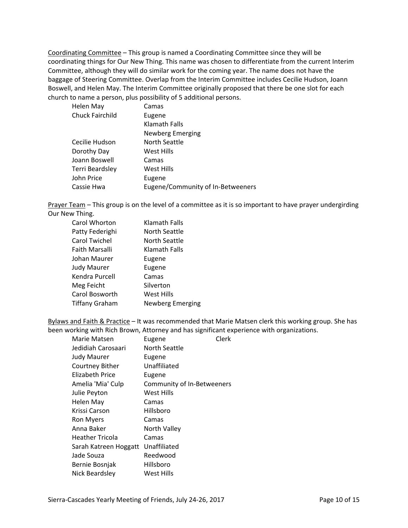Coordinating Committee – This group is named a Coordinating Committee since they will be coordinating things for Our New Thing. This name was chosen to differentiate from the current Interim Committee, although they will do similar work for the coming year. The name does not have the baggage of Steering Committee. Overlap from the Interim Committee includes Cecilie Hudson, Joann Boswell, and Helen May. The Interim Committee originally proposed that there be one slot for each church to name a person, plus possibility of 5 additional persons.

| Helen May       | Camas                             |
|-----------------|-----------------------------------|
| Chuck Fairchild | Eugene                            |
|                 | <b>Klamath Falls</b>              |
|                 | <b>Newberg Emerging</b>           |
| Cecilie Hudson  | North Seattle                     |
| Dorothy Day     | West Hills                        |
| Joann Boswell   | Camas                             |
| Terri Beardsley | West Hills                        |
| John Price      | Eugene                            |
| Cassie Hwa      | Eugene/Community of In-Betweeners |

Prayer Team - This group is on the level of a committee as it is so important to have prayer undergirding Our New Thing.

| Klamath Falls    |
|------------------|
| North Seattle    |
| North Seattle    |
| Klamath Falls    |
| Eugene           |
| Eugene           |
| Camas            |
| Silverton        |
| West Hills       |
| Newberg Emerging |
|                  |

Bylaws and Faith & Practice – It was recommended that Marie Matsen clerk this working group. She has been working with Rich Brown, Attorney and has significant experience with organizations.

| Marie Matsen           | Eugene                     | Clerk |
|------------------------|----------------------------|-------|
| Jedidiah Carosaari     | North Seattle              |       |
| <b>Judy Maurer</b>     | Eugene                     |       |
| Courtney Bither        | Unaffiliated               |       |
| Elizabeth Price        | Eugene                     |       |
| Amelia 'Mia' Culp      | Community of In-Betweeners |       |
| Julie Peyton           | West Hills                 |       |
| Helen May              | Camas                      |       |
| Krissi Carson          | Hillsboro                  |       |
| <b>Ron Myers</b>       | Camas                      |       |
| Anna Baker             | North Valley               |       |
| <b>Heather Tricola</b> | Camas                      |       |
| Sarah Katreen Hoggatt  | Unaffiliated               |       |
| Jade Souza             | Reedwood                   |       |
| Bernie Bosnjak         | Hillsboro                  |       |
| Nick Beardsley         | West Hills                 |       |
|                        |                            |       |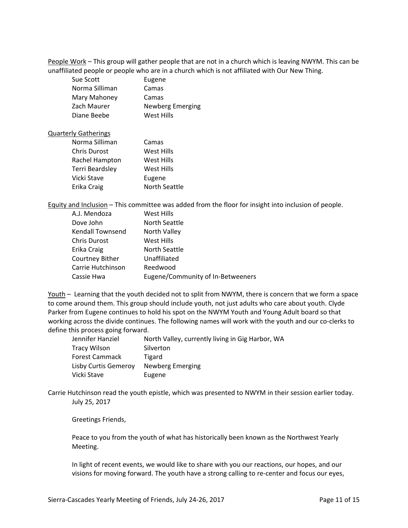People Work – This group will gather people that are not in a church which is leaving NWYM. This can be unaffiliated people or people who are in a church which is not affiliated with Our New Thing.

| Sue Scott      | Eugene           |
|----------------|------------------|
| Norma Silliman | Camas            |
| Mary Mahoney   | Camas            |
| Zach Maurer    | Newberg Emerging |
| Diane Beebe    | West Hills       |

#### Quarterly Gatherings

| Norma Silliman         | Camas                |
|------------------------|----------------------|
| <b>Chris Durost</b>    | <b>West Hills</b>    |
| Rachel Hampton         | West Hills           |
| <b>Terri Beardsley</b> | West Hills           |
| Vicki Stave            | Eugene               |
| Erika Craig            | <b>North Seattle</b> |

Equity and Inclusion – This committee was added from the floor for insight into inclusion of people.

| A.J. Mendoza        | West Hills                        |
|---------------------|-----------------------------------|
| Dove John           | North Seattle                     |
| Kendall Townsend    | North Valley                      |
| <b>Chris Durost</b> | West Hills                        |
| Erika Craig         | North Seattle                     |
| Courtney Bither     | Unaffiliated                      |
| Carrie Hutchinson   | Reedwood                          |
| Cassie Hwa          | Eugene/Community of In-Betweeners |

Youth – Learning that the youth decided not to split from NWYM, there is concern that we form a space to come around them. This group should include youth, not just adults who care about youth. Clyde Parker from Eugene continues to hold his spot on the NWYM Youth and Young Adult board so that working across the divide continues. The following names will work with the youth and our co-clerks to define this process going forward.

| Jennifer Hanziel      | North Valley, currently living in Gig Harbor, WA |
|-----------------------|--------------------------------------------------|
| <b>Tracy Wilson</b>   | Silverton                                        |
| <b>Forest Cammack</b> | Tigard                                           |
| Lisby Curtis Gemeroy  | Newberg Emerging                                 |
| Vicki Stave           | Eugene                                           |

Carrie Hutchinson read the youth epistle, which was presented to NWYM in their session earlier today. July 25, 2017

Greetings Friends,

Peace to you from the youth of what has historically been known as the Northwest Yearly Meeting.

In light of recent events, we would like to share with you our reactions, our hopes, and our visions for moving forward. The youth have a strong calling to re-center and focus our eyes,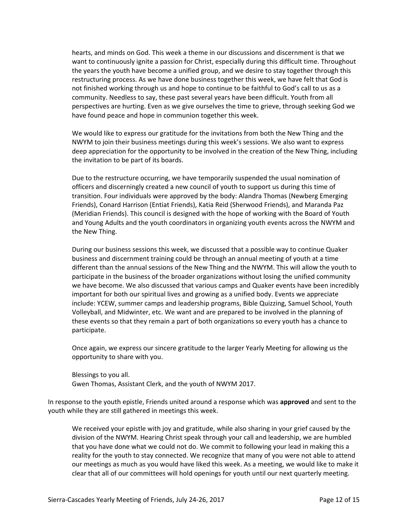hearts, and minds on God. This week a theme in our discussions and discernment is that we want to continuously ignite a passion for Christ, especially during this difficult time. Throughout the years the youth have become a unified group, and we desire to stay together through this restructuring process. As we have done business together this week, we have felt that God is not finished working through us and hope to continue to be faithful to God's call to us as a community. Needless to say, these past several years have been difficult. Youth from all perspectives are hurting. Even as we give ourselves the time to grieve, through seeking God we have found peace and hope in communion together this week.

We would like to express our gratitude for the invitations from both the New Thing and the NWYM to join their business meetings during this week's sessions. We also want to express deep appreciation for the opportunity to be involved in the creation of the New Thing, including the invitation to be part of its boards.

Due to the restructure occurring, we have temporarily suspended the usual nomination of officers and discerningly created a new council of youth to support us during this time of transition. Four individuals were approved by the body: Alandra Thomas (Newberg Emerging Friends), Conard Harrison (Entiat Friends), Katia Reid (Sherwood Friends), and Maranda Paz (Meridian Friends). This council is designed with the hope of working with the Board of Youth and Young Adults and the youth coordinators in organizing youth events across the NWYM and the New Thing.

During our business sessions this week, we discussed that a possible way to continue Quaker business and discernment training could be through an annual meeting of youth at a time different than the annual sessions of the New Thing and the NWYM. This will allow the youth to participate in the business of the broader organizations without losing the unified community we have become. We also discussed that various camps and Quaker events have been incredibly important for both our spiritual lives and growing as a unified body. Events we appreciate include: YCEW, summer camps and leadership programs, Bible Quizzing, Samuel School, Youth Volleyball, and Midwinter, etc. We want and are prepared to be involved in the planning of these events so that they remain a part of both organizations so every youth has a chance to participate.

Once again, we express our sincere gratitude to the larger Yearly Meeting for allowing us the opportunity to share with you.

Blessings to you all. Gwen Thomas, Assistant Clerk, and the youth of NWYM 2017.

In response to the youth epistle, Friends united around a response which was **approved** and sent to the youth while they are still gathered in meetings this week.

We received your epistle with joy and gratitude, while also sharing in your grief caused by the division of the NWYM. Hearing Christ speak through your call and leadership, we are humbled that you have done what we could not do. We commit to following your lead in making this a reality for the youth to stay connected. We recognize that many of you were not able to attend our meetings as much as you would have liked this week. As a meeting, we would like to make it clear that all of our committees will hold openings for youth until our next quarterly meeting.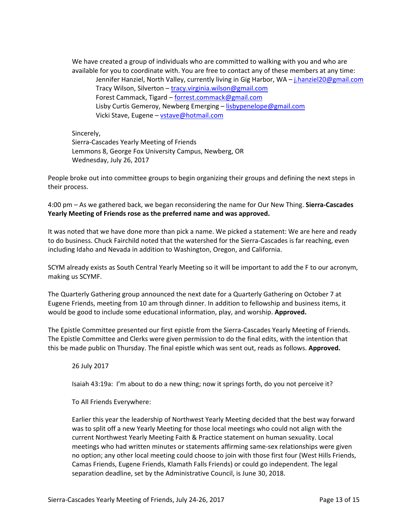We have created a group of individuals who are committed to walking with you and who are available for you to coordinate with. You are free to contact any of these members at any time: Jennifer Hanziel, North Valley, currently living in Gig Harbor, WA - j.hanziel20@gmail.com Tracy Wilson, Silverton – tracy.virginia.wilson@gmail.com Forest Cammack, Tigard – forrest.commack@gmail.com Lisby Curtis Gemeroy, Newberg Emerging – lisbypenelope@gmail.com Vicki Stave, Eugene – vstave@hotmail.com

Sincerely, Sierra-Cascades Yearly Meeting of Friends Lemmons 8, George Fox University Campus, Newberg, OR Wednesday, July 26, 2017

People broke out into committee groups to begin organizing their groups and defining the next steps in their process.

4:00 pm – As we gathered back, we began reconsidering the name for Our New Thing. **Sierra-Cascades Yearly Meeting of Friends rose as the preferred name and was approved.** 

It was noted that we have done more than pick a name. We picked a statement: We are here and ready to do business. Chuck Fairchild noted that the watershed for the Sierra-Cascades is far reaching, even including Idaho and Nevada in addition to Washington, Oregon, and California.

SCYM already exists as South Central Yearly Meeting so it will be important to add the F to our acronym, making us SCYMF.

The Quarterly Gathering group announced the next date for a Quarterly Gathering on October 7 at Eugene Friends, meeting from 10 am through dinner. In addition to fellowship and business items, it would be good to include some educational information, play, and worship. **Approved.**

The Epistle Committee presented our first epistle from the Sierra-Cascades Yearly Meeting of Friends. The Epistle Committee and Clerks were given permission to do the final edits, with the intention that this be made public on Thursday. The final epistle which was sent out, reads as follows. **Approved.** 

26 July 2017

Isaiah 43:19a: I'm about to do a new thing; now it springs forth, do you not perceive it?

To All Friends Everywhere:

Earlier this year the leadership of Northwest Yearly Meeting decided that the best way forward was to split off a new Yearly Meeting for those local meetings who could not align with the current Northwest Yearly Meeting Faith & Practice statement on human sexuality. Local meetings who had written minutes or statements affirming same-sex relationships were given no option; any other local meeting could choose to join with those first four (West Hills Friends, Camas Friends, Eugene Friends, Klamath Falls Friends) or could go independent. The legal separation deadline, set by the Administrative Council, is June 30, 2018.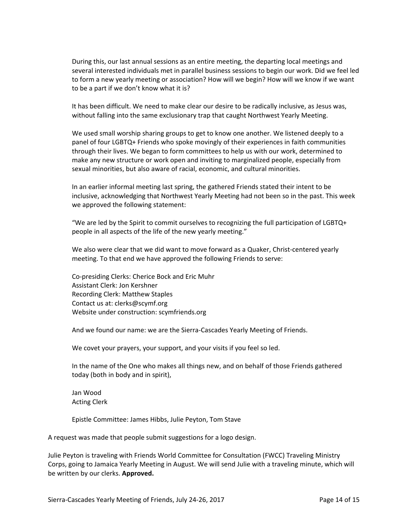During this, our last annual sessions as an entire meeting, the departing local meetings and several interested individuals met in parallel business sessions to begin our work. Did we feel led to form a new yearly meeting or association? How will we begin? How will we know if we want to be a part if we don't know what it is?

It has been difficult. We need to make clear our desire to be radically inclusive, as Jesus was, without falling into the same exclusionary trap that caught Northwest Yearly Meeting.

We used small worship sharing groups to get to know one another. We listened deeply to a panel of four LGBTQ+ Friends who spoke movingly of their experiences in faith communities through their lives. We began to form committees to help us with our work, determined to make any new structure or work open and inviting to marginalized people, especially from sexual minorities, but also aware of racial, economic, and cultural minorities.

In an earlier informal meeting last spring, the gathered Friends stated their intent to be inclusive, acknowledging that Northwest Yearly Meeting had not been so in the past. This week we approved the following statement:

"We are led by the Spirit to commit ourselves to recognizing the full participation of LGBTQ+ people in all aspects of the life of the new yearly meeting."

We also were clear that we did want to move forward as a Quaker, Christ-centered yearly meeting. To that end we have approved the following Friends to serve:

Co-presiding Clerks: Cherice Bock and Eric Muhr Assistant Clerk: Jon Kershner Recording Clerk: Matthew Staples Contact us at: clerks@scymf.org Website under construction: scymfriends.org

And we found our name: we are the Sierra-Cascades Yearly Meeting of Friends.

We covet your prayers, your support, and your visits if you feel so led.

In the name of the One who makes all things new, and on behalf of those Friends gathered today (both in body and in spirit),

Jan Wood Acting Clerk

Epistle Committee: James Hibbs, Julie Peyton, Tom Stave

A request was made that people submit suggestions for a logo design.

Julie Peyton is traveling with Friends World Committee for Consultation (FWCC) Traveling Ministry Corps, going to Jamaica Yearly Meeting in August. We will send Julie with a traveling minute, which will be written by our clerks. **Approved.**